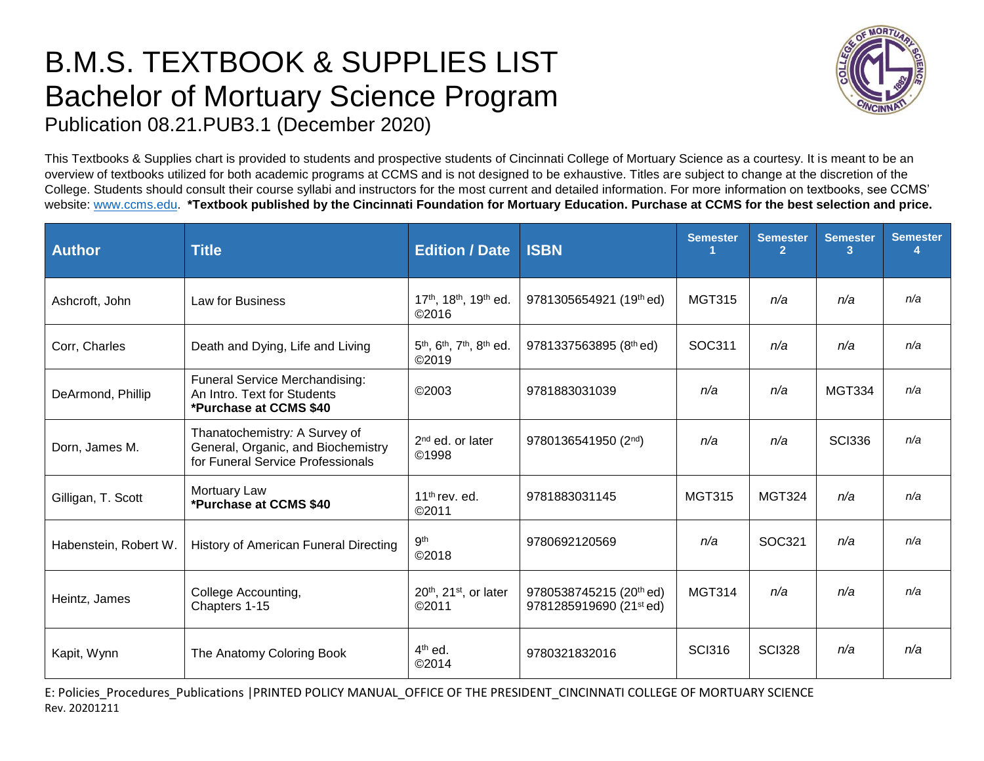## B.M.S. TEXTBOOK & SUPPLIES LIST Bachelor of Mortuary Science Program Publication 08.21.PUB3.1 (December 2020)



This Textbooks & Supplies chart is provided to students and prospective students of Cincinnati College of Mortuary Science as a courtesy. It is meant to be an overview of textbooks utilized for both academic programs at CCMS and is not designed to be exhaustive. Titles are subject to change at the discretion of the College. Students should consult their course syllabi and instructors for the most current and detailed information. For more information on textbooks, see CCMS' website: [www.ccms.edu.](http://www.ccms.edu/) **\*Textbook published by the Cincinnati Foundation for Mortuary Education. Purchase at CCMS for the best selection and price.**

| <b>Author</b>         | <b>Title</b>                                                                                             | <b>Edition / Date</b>                                                              | <b>ISBN</b>                                        | <b>Semester</b> | <b>Semester</b><br>$\overline{2}$ | <b>Semester</b><br>3 <sup>1</sup> | <b>Semester</b> |
|-----------------------|----------------------------------------------------------------------------------------------------------|------------------------------------------------------------------------------------|----------------------------------------------------|-----------------|-----------------------------------|-----------------------------------|-----------------|
| Ashcroft, John        | Law for Business                                                                                         | 17th, 18th, 19th ed.<br>©2016                                                      | 9781305654921 (19th ed)                            | <b>MGT315</b>   | n/a                               | n/a                               | n/a             |
| Corr, Charles         | Death and Dying, Life and Living                                                                         | 5 <sup>th</sup> , 6 <sup>th</sup> , 7 <sup>th</sup> , 8 <sup>th</sup> ed.<br>©2019 | 9781337563895 (8th ed)                             | SOC311          | n/a                               | n/a                               | n/a             |
| DeArmond, Phillip     | <b>Funeral Service Merchandising:</b><br>An Intro. Text for Students<br>*Purchase at CCMS \$40           | ©2003                                                                              | 9781883031039                                      | n/a             | n/a                               | <b>MGT334</b>                     | n/a             |
| Dorn, James M.        | Thanatochemistry: A Survey of<br>General, Organic, and Biochemistry<br>for Funeral Service Professionals | $2nd$ ed. or later<br>©1998                                                        | 9780136541950 (2nd)                                | n/a             | n/a                               | <b>SCI336</b>                     | n/a             |
| Gilligan, T. Scott    | Mortuary Law<br>*Purchase at CCMS \$40                                                                   | 11 <sup>th</sup> rev. ed.<br>©2011                                                 | 9781883031145                                      | <b>MGT315</b>   | <b>MGT324</b>                     | n/a                               | n/a             |
| Habenstein, Robert W. | History of American Funeral Directing                                                                    | 9 <sup>th</sup><br>©2018                                                           | 9780692120569                                      | n/a             | SOC321                            | n/a                               | n/a             |
| Heintz, James         | College Accounting,<br>Chapters 1-15                                                                     | $20th$ , 21 <sup>st</sup> , or later<br>©2011                                      | 9780538745215 (20th ed)<br>9781285919690 (21st ed) | <b>MGT314</b>   | n/a                               | n/a                               | n/a             |
| Kapit, Wynn           | The Anatomy Coloring Book                                                                                | $4th$ ed.<br>©2014                                                                 | 9780321832016                                      | <b>SCI316</b>   | <b>SCI328</b>                     | n/a                               | n/a             |

E: Policies\_Procedures\_Publications |PRINTED POLICY MANUAL\_OFFICE OF THE PRESIDENT\_CINCINNATI COLLEGE OF MORTUARY SCIENCE Rev. 20201211